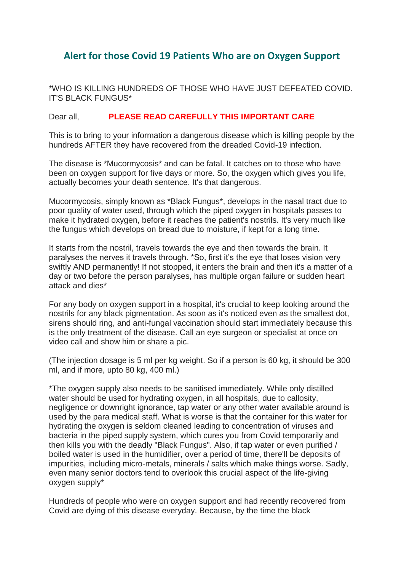## **Alert for those Covid 19 Patients Who are on Oxygen Support**

\*WHO IS KILLING HUNDREDS OF THOSE WHO HAVE JUST DEFEATED COVID. IT'S BLACK FUNGUS\*

## Dear all, **PLEASE READ CAREFULLY THIS IMPORTANT CARE**

This is to bring to your information a dangerous disease which is killing people by the hundreds AFTER they have recovered from the dreaded Covid-19 infection.

The disease is \*Mucormycosis\* and can be fatal. It catches on to those who have been on oxygen support for five days or more. So, the oxygen which gives you life, actually becomes your death sentence. It's that dangerous.

Mucormycosis, simply known as \*Black Fungus\*, develops in the nasal tract due to poor quality of water used, through which the piped oxygen in hospitals passes to make it hydrated oxygen, before it reaches the patient's nostrils. It's very much like the fungus which develops on bread due to moisture, if kept for a long time.

It starts from the nostril, travels towards the eye and then towards the brain. It paralyses the nerves it travels through. \*So, first it's the eye that loses vision very swiftly AND permanently! If not stopped, it enters the brain and then it's a matter of a day or two before the person paralyses, has multiple organ failure or sudden heart attack and dies\*

For any body on oxygen support in a hospital, it's crucial to keep looking around the nostrils for any black pigmentation. As soon as it's noticed even as the smallest dot, sirens should ring, and anti-fungal vaccination should start immediately because this is the only treatment of the disease. Call an eye surgeon or specialist at once on video call and show him or share a pic.

(The injection dosage is 5 ml per kg weight. So if a person is 60 kg, it should be 300 ml, and if more, upto 80 kg, 400 ml.)

\*The oxygen supply also needs to be sanitised immediately. While only distilled water should be used for hydrating oxygen, in all hospitals, due to callosity, negligence or downright ignorance, tap water or any other water available around is used by the para medical staff. What is worse is that the container for this water for hydrating the oxygen is seldom cleaned leading to concentration of viruses and bacteria in the piped supply system, which cures you from Covid temporarily and then kills you with the deadly "Black Fungus". Also, if tap water or even purified / boiled water is used in the humidifier, over a period of time, there'll be deposits of impurities, including micro-metals, minerals / salts which make things worse. Sadly, even many senior doctors tend to overlook this crucial aspect of the life-giving oxygen supply\*

Hundreds of people who were on oxygen support and had recently recovered from Covid are dying of this disease everyday. Because, by the time the black